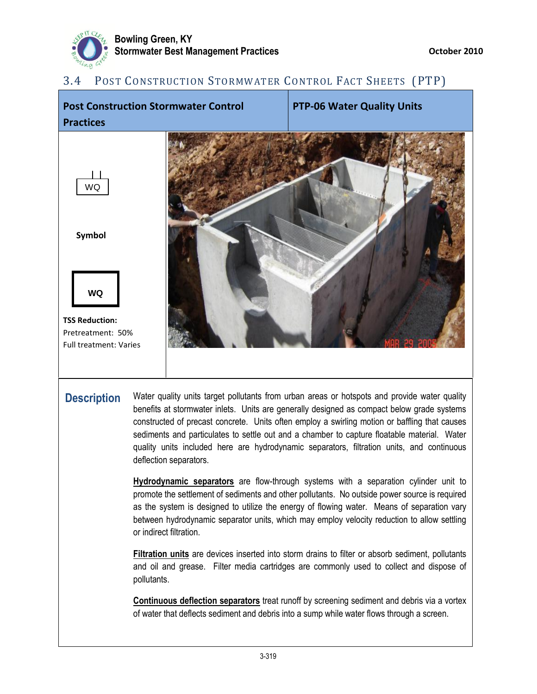

# 3.4 POST CONSTRUCTION STORMWATER CONTROL FACT SHEETS (PTP)



**Description** Water quality units target pollutants from urban areas or hotspots and provide water quality benefits at stormwater inlets. Units are generally designed as compact below grade systems constructed of precast concrete. Units often employ a swirling motion or baffling that causes sediments and particulates to settle out and a chamber to capture floatable material. Water quality units included here are hydrodynamic separators, filtration units, and continuous deflection separators.

> **Hydrodynamic separators** are flow-through systems with a separation cylinder unit to promote the settlement of sediments and other pollutants. No outside power source is required as the system is designed to utilize the energy of flowing water. Means of separation vary between hydrodynamic separator units, which may employ velocity reduction to allow settling or indirect filtration.

> **Filtration units** are devices inserted into storm drains to filter or absorb sediment, pollutants and oil and grease. Filter media cartridges are commonly used to collect and dispose of pollutants.

> **Continuous deflection separators** treat runoff by screening sediment and debris via a vortex of water that deflects sediment and debris into a sump while water flows through a screen.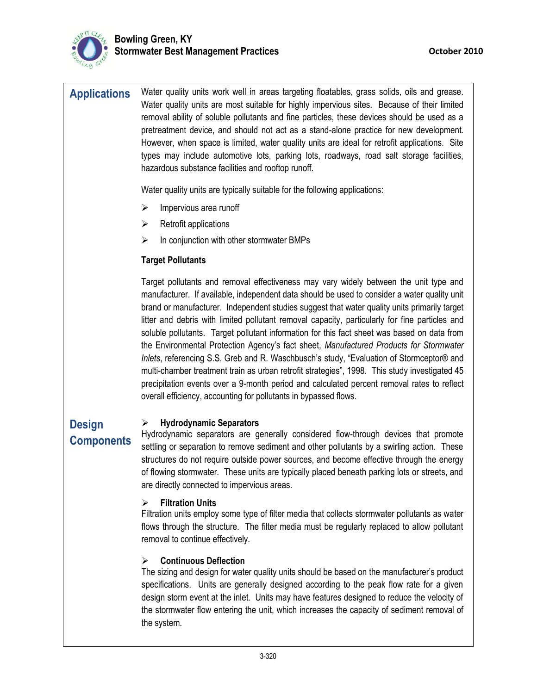

**Applications** Water quality units work well in areas targeting floatables, grass solids, oils and grease. Water quality units are most suitable for highly impervious sites. Because of their limited removal ability of soluble pollutants and fine particles, these devices should be used as a pretreatment device, and should not act as a stand-alone practice for new development. However, when space is limited, water quality units are ideal for retrofit applications. Site types may include automotive lots, parking lots, roadways, road salt storage facilities, hazardous substance facilities and rooftop runoff.

Water quality units are typically suitable for the following applications:

- $\triangleright$  Impervious area runoff
- $\triangleright$  Retrofit applications
- $\triangleright$  In conjunction with other stormwater BMPs

## **Target Pollutants**

Target pollutants and removal effectiveness may vary widely between the unit type and manufacturer. If available, independent data should be used to consider a water quality unit brand or manufacturer. Independent studies suggest that water quality units primarily target litter and debris with limited pollutant removal capacity, particularly for fine particles and soluble pollutants. Target pollutant information for this fact sheet was based on data from the Environmental Protection Agency's fact sheet, *Manufactured Products for Stormwater Inlets*, referencing S.S. Greb and R. Waschbusch's study, "Evaluation of Stormceptor® and multi-chamber treatment train as urban retrofit strategies", 1998. This study investigated 45 precipitation events over a 9-month period and calculated percent removal rates to reflect overall efficiency, accounting for pollutants in bypassed flows.

## **Hydrodynamic Separators**

**Design Components**

Hydrodynamic separators are generally considered flow-through devices that promote settling or separation to remove sediment and other pollutants by a swirling action. These structures do not require outside power sources, and become effective through the energy of flowing stormwater. These units are typically placed beneath parking lots or streets, and are directly connected to impervious areas.

## **Filtration Units**

Filtration units employ some type of filter media that collects stormwater pollutants as water flows through the structure. The filter media must be regularly replaced to allow pollutant removal to continue effectively.

## **Continuous Deflection**

The sizing and design for water quality units should be based on the manufacturer's product specifications. Units are generally designed according to the peak flow rate for a given design storm event at the inlet. Units may have features designed to reduce the velocity of the stormwater flow entering the unit, which increases the capacity of sediment removal of the system.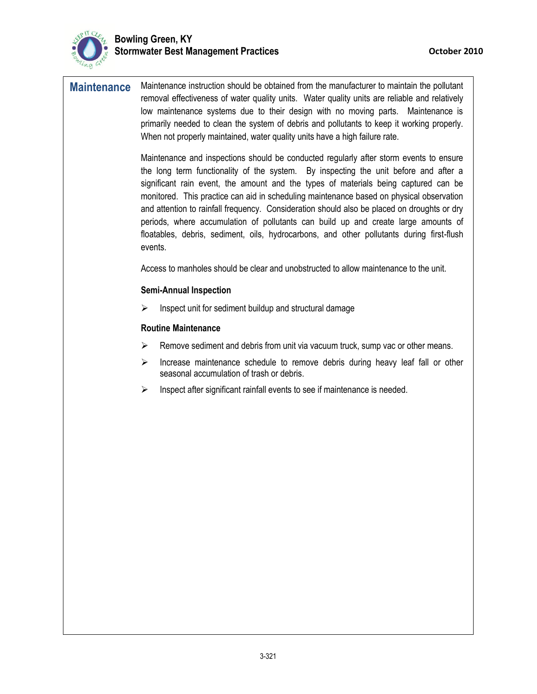

**Maintenance** Maintenance instruction should be obtained from the manufacturer to maintain the pollutant removal effectiveness of water quality units. Water quality units are reliable and relatively low maintenance systems due to their design with no moving parts. Maintenance is primarily needed to clean the system of debris and pollutants to keep it working properly. When not properly maintained, water quality units have a high failure rate.

> Maintenance and inspections should be conducted regularly after storm events to ensure the long term functionality of the system. By inspecting the unit before and after a significant rain event, the amount and the types of materials being captured can be monitored. This practice can aid in scheduling maintenance based on physical observation and attention to rainfall frequency. Consideration should also be placed on droughts or dry periods, where accumulation of pollutants can build up and create large amounts of floatables, debris, sediment, oils, hydrocarbons, and other pollutants during first-flush events.

Access to manholes should be clear and unobstructed to allow maintenance to the unit.

#### **Semi-Annual Inspection**

 $\triangleright$  Inspect unit for sediment buildup and structural damage

#### **Routine Maintenance**

- Remove sediment and debris from unit via vacuum truck, sump vac or other means.
- Increase maintenance schedule to remove debris during heavy leaf fall or other seasonal accumulation of trash or debris.
- Inspect after significant rainfall events to see if maintenance is needed.